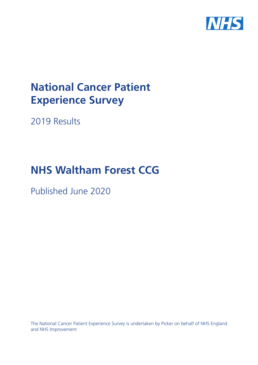

# **National Cancer Patient Experience Survey**

2019 Results

# **NHS Waltham Forest CCG**

Published June 2020

The National Cancer Patient Experience Survey is undertaken by Picker on behalf of NHS England and NHS Improvement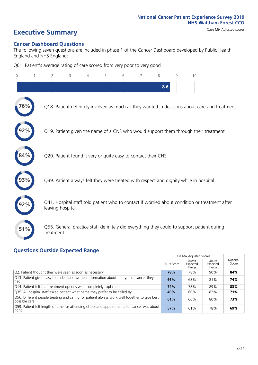# **Executive Summary** Case Mix Adjusted scores

#### **Cancer Dashboard Questions**

The following seven questions are included in phase 1 of the Cancer Dashboard developed by Public Health England and NHS England:

Q61. Patient's average rating of care scored from very poor to very good

| $\mathbf{0}$ | $\overline{2}$                                                | 3 | $\overline{4}$ | 5 | 6 | 7 | 8   | 9 | 10                                                                                            |
|--------------|---------------------------------------------------------------|---|----------------|---|---|---|-----|---|-----------------------------------------------------------------------------------------------|
|              |                                                               |   |                |   |   |   | 8.6 |   |                                                                                               |
| 76%          |                                                               |   |                |   |   |   |     |   | Q18. Patient definitely involved as much as they wanted in decisions about care and treatment |
|              |                                                               |   |                |   |   |   |     |   | Q19. Patient given the name of a CNS who would support them through their treatment           |
|              | Q20. Patient found it very or quite easy to contact their CNS |   |                |   |   |   |     |   |                                                                                               |
|              |                                                               |   |                |   |   |   |     |   | Q39. Patient always felt they were treated with respect and dignity while in hospital         |
|              | leaving hospital                                              |   |                |   |   |   |     |   | Q41. Hospital staff told patient who to contact if worried about condition or treatment after |
| 51%          | treatment                                                     |   |                |   |   |   |     |   | Q55. General practice staff definitely did everything they could to support patient during    |

### **Questions Outside Expected Range**

|                                                                                                               |            | Case Mix Adjusted Scores   |                            |                   |
|---------------------------------------------------------------------------------------------------------------|------------|----------------------------|----------------------------|-------------------|
|                                                                                                               | 2019 Score | Lower<br>Expected<br>Range | Upper<br>Expected<br>Range | National<br>Score |
| Q2. Patient thought they were seen as soon as necessary                                                       | 78%        | 78%                        | 90%                        | 84%               |
| Q13. Patient given easy to understand written information about the type of cancer they<br>had                | 66%        | 68%                        | 81%                        | 74%               |
| Q14. Patient felt that treatment options were completely explained                                            | 74%        | 78%                        | 89%                        | 83%               |
| Q35. All hospital staff asked patient what name they prefer to be called by                                   | 49%        | 60%                        | 82%                        | 71%               |
| Q56. Different people treating and caring for patient always work well together to give best<br>possible care | 61%        | 66%                        | 80%                        | 73%               |
| Q59. Patient felt length of time for attending clinics and appointments for cancer was about<br>right         | 57%        | 61%                        | 78%                        | 69%               |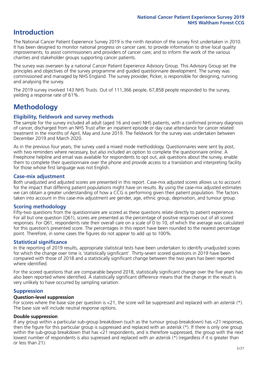## **Introduction**

The National Cancer Patient Experience Survey 2019 is the ninth iteration of the survey first undertaken in 2010. It has been designed to monitor national progress on cancer care; to provide information to drive local quality improvements; to assist commissioners and providers of cancer care; and to inform the work of the various charities and stakeholder groups supporting cancer patients.

The survey was overseen by a national Cancer Patient Experience Advisory Group. This Advisory Group set the principles and objectives of the survey programme and guided questionnaire development. The survey was commissioned and managed by NHS England. The survey provider, Picker, is responsible for designing, running and analysing the survey.

The 2019 survey involved 143 NHS Trusts. Out of 111,366 people, 67,858 people responded to the survey, yielding a response rate of 61%.

# **Methodology**

#### **Eligibility, eldwork and survey methods**

The sample for the survey included all adult (aged 16 and over) NHS patients, with a confirmed primary diagnosis of cancer, discharged from an NHS Trust after an inpatient episode or day case attendance for cancer related treatment in the months of April, May and June 2019. The fieldwork for the survey was undertaken between December 2019 and March 2020.

As in the previous four years, the survey used a mixed mode methodology. Questionnaires were sent by post, with two reminders where necessary, but also included an option to complete the questionnaire online. A Freephone helpline and email was available for respondents to opt out, ask questions about the survey, enable them to complete their questionnaire over the phone and provide access to a translation and interpreting facility for those whose first language was not English.

#### **Case-mix adjustment**

Both unadjusted and adjusted scores are presented in this report. Case-mix adjusted scores allows us to account for the impact that differing patient populations might have on results. By using the case-mix adjusted estimates we can obtain a greater understanding of how a CCG is performing given their patient population. The factors taken into account in this case-mix adjustment are gender, age, ethnic group, deprivation, and tumour group.

#### **Scoring methodology**

Fifty-two questions from the questionnaire are scored as these questions relate directly to patient experience. For all but one question (Q61), scores are presented as the percentage of positive responses out of all scored responses. For Q61, respondents rate their overall care on a scale of 0 to 10, of which the average was calculated for this question's presented score. The percentages in this report have been rounded to the nearest percentage point. Therefore, in some cases the figures do not appear to add up to 100%.

#### **Statistical significance**

In the reporting of 2019 results, appropriate statistical tests have been undertaken to identify unadjusted scores for which the change over time is 'statistically significant'. Thirty-seven scored questions in 2019 have been compared with those of 2018 and a statistically significant change between the two years has been reported where identified.

For the scored questions that are comparable beyond 2018, statistically significant change over the five years has also been reported where identified. A statistically significant difference means that the change in the result is very unlikely to have occurred by sampling variation.

#### **Suppression**

#### **Question-level suppression**

For scores where the base size per question is  $<$ 21, the score will be suppressed and replaced with an asterisk (\*). The base size will include neutral response options.

#### **Double suppression**

If any group within a particular sub-group breakdown (such as the tumour group breakdown) has <21 responses, then the figure for this particular group is suppressed and replaced with an asterisk (\*). If there is only one group within the sub-group breakdown that has <21 respondents, and is therefore suppressed, the group with the next lowest number of respondents is also supressed and replaced with an asterisk (\*) (regardless if it is greater than or less than 21).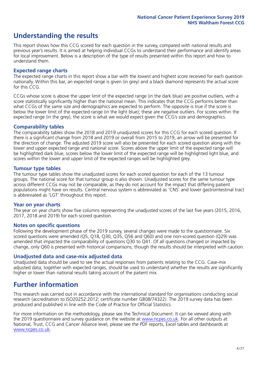# **Understanding the results**

This report shows how this CCG scored for each question in the survey, compared with national results and previous year's results. It is aimed at helping individual CCGs to understand their performance and identify areas for local improvement. Below is a description of the type of results presented within this report and how to understand them.

#### **Expected range charts**

The expected range charts in this report show a bar with the lowest and highest score received for each question nationally. Within this bar, an expected range is given (in grey) and a black diamond represents the actual score for this CCG.

CCGs whose score is above the upper limit of the expected range (in the dark blue) are positive outliers, with a score statistically significantly higher than the national mean. This indicates that the CCG performs better than what CCGs of the same size and demographics are expected to perform. The opposite is true if the score is below the lower limit of the expected range (in the light blue); these are negative outliers. For scores within the expected range (in the grey), the score is what we would expect given the CCG's size and demographics.

#### **Comparability tables**

The comparability tables show the 2018 and 2019 unadjusted scores for this CCG for each scored question. If there is a significant change from 2018 and 2019 or overall from 2015 to 2019, an arrow will be presented for the direction of change. The adjusted 2019 score will also be presented for each scored question along with the lower and upper expected range and national score. Scores above the upper limit of the expected range will be highlighted dark blue, scores below the lower limit of the expected range will be highlighted light blue, and scores within the lower and upper limit of the expected ranges will be highlighted grey.

#### **Tumour type tables**

The tumour type tables show the unadjusted scores for each scored question for each of the 13 tumour groups. The national score for that tumour group is also shown. Unadjusted scores for the same tumour type across different CCGs may not be comparable, as they do not account for the impact that differing patient populations might have on results. Central nervous system is abbreviated as 'CNS' and lower gastrointestinal tract is abbreviated as 'LGT' throughout this report.

#### **Year on year charts**

The year on year charts show five columns representing the unadjusted scores of the last five years (2015, 2016, 2017, 2018 and 2019) for each scored question.

#### **Notes on specific questions**

Following the development phase of the 2019 survey, several changes were made to the questionnaire. Six scored questions were amended (Q5, Q18, Q30, Q35, Q56 and Q60) and one non-scored question (Q29) was amended that impacted the comparability of questions Q30 to Q41. Of all questions changed or impacted by change, only Q60 is presented with historical comparisons; though the results should be interpreted with caution.

#### **Unadjusted data and case-mix adjusted data**

Unadjusted data should be used to see the actual responses from patients relating to the CCG. Case-mix adjusted data, together with expected ranges, should be used to understand whether the results are significantly higher or lower than national results taking account of the patient mix.

### **Further information**

This research was carried out in accordance with the international standard for organisations conducting social research (accreditation to ISO20252:2012; certificate number GB08/74322). The 2019 survey data has been produced and published in line with the Code of Practice for Official Statistics.

For more information on the methodology, please see the Technical Document. It can be viewed along with the 2019 questionnaire and survey quidance on the website at [www.ncpes.co.uk](https://www.ncpes.co.uk/supporting-documents). For all other outputs at National, Trust, CCG and Cancer Alliance level, please see the PDF reports, Excel tables and dashboards at [www.ncpes.co.uk.](https://www.ncpes.co.uk/current-results)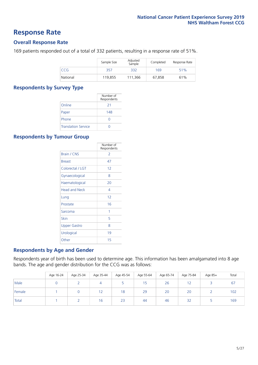### **Response Rate**

#### **Overall Response Rate**

169 patients responded out of a total of 332 patients, resulting in a response rate of 51%.

|            | Sample Size | Adjusted<br>Sample | Completed | Response Rate |
|------------|-------------|--------------------|-----------|---------------|
| <b>CCG</b> | 357         | 332                | 169       | 51%           |
| National   | 119.855     | 111,366            | 67,858    | 61%           |

#### **Respondents by Survey Type**

|                            | Number of<br>Respondents |
|----------------------------|--------------------------|
| Online                     | 21                       |
| Paper                      | 148                      |
| Phone                      |                          |
| <b>Translation Service</b> |                          |

#### **Respondents by Tumour Group**

|                      | Number of<br>Respondents |
|----------------------|--------------------------|
| <b>Brain / CNS</b>   | 2                        |
| <b>Breast</b>        | 47                       |
| Colorectal / LGT     | 12                       |
| Gynaecological       | 8                        |
| Haematological       | 20                       |
| <b>Head and Neck</b> | 4                        |
| Lung                 | 12                       |
| Prostate             | 16                       |
| Sarcoma              | 1                        |
| Skin                 | 5                        |
| <b>Upper Gastro</b>  | 8                        |
| Urological           | 19                       |
| Other                | 15                       |

#### **Respondents by Age and Gender**

Respondents year of birth has been used to determine age. This information has been amalgamated into 8 age bands. The age and gender distribution for the CCG was as follows:

|        | Age 16-24 | Age 25-34 | Age 35-44 | Age 45-54 | Age 55-64 | Age 65-74 | Age 75-84 | Age 85+ | Total |
|--------|-----------|-----------|-----------|-----------|-----------|-----------|-----------|---------|-------|
| Male   |           |           |           |           | 15        | 26        |           |         | 67    |
| Female |           |           | ╶         | 18        | 29        | 20        | 20        |         | 102   |
| Total  |           |           | 16        | 23        | 44        | 46        | 32        |         | 169   |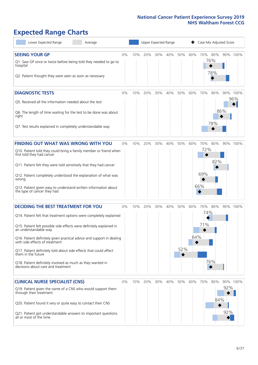# **Expected Range Charts**

| Lower Expected Range<br>Average                                                                                                                                                                                                                                                                                                                                                                                                                                                                                             |    |     | Upper Expected Range |     |     |            |            | Case Mix Adjusted Score  |            |            |                 |
|-----------------------------------------------------------------------------------------------------------------------------------------------------------------------------------------------------------------------------------------------------------------------------------------------------------------------------------------------------------------------------------------------------------------------------------------------------------------------------------------------------------------------------|----|-----|----------------------|-----|-----|------------|------------|--------------------------|------------|------------|-----------------|
| <b>SEEING YOUR GP</b><br>Q1. Saw GP once or twice before being told they needed to go to<br>hospital<br>Q2. Patient thought they were seen as soon as necessary                                                                                                                                                                                                                                                                                                                                                             | 0% | 10% | 20%                  | 30% | 40% | 50%        | 60%        | 70% 80%                  | 76%<br>78% |            | 90% 100%        |
| <b>DIAGNOSTIC TESTS</b><br>Q5. Received all the information needed about the test<br>Q6. The length of time waiting for the test to be done was about<br>right<br>Q7. Test results explained in completely understandable way                                                                                                                                                                                                                                                                                               | 0% | 10% | 20%                  | 30% | 40% | 50%        | 60%        | 70%                      | 80%<br>78% | 86%        | 90% 100%<br>96% |
| <b>FINDING OUT WHAT WAS WRONG WITH YOU</b><br>Q10. Patient told they could bring a family member or friend when<br>first told they had cancer<br>Q11. Patient felt they were told sensitively that they had cancer<br>Q12. Patient completely understood the explanation of what was<br>wrong<br>Q13. Patient given easy to understand written information about<br>the type of cancer they had                                                                                                                             | 0% | 10% | 20%                  | 30% | 40% | 50%        | 60%        | 70%<br>72%<br>69%<br>66% | 80%<br>82% |            | 90% 100%        |
| <b>DECIDING THE BEST TREATMENT FOR YOU</b><br>Q14. Patient felt that treatment options were completely explained<br>Q15. Patient felt possible side effects were definitely explained in<br>an understandable way<br>Q16. Patient definitely given practical advice and support in dealing<br>with side effects of treatment<br>Q17. Patient definitely told about side effects that could affect<br>them in the future<br>Q18. Patient definitely involved as much as they wanted in<br>decisions about care and treatment | 0% | 10% | 20%                  | 30% | 40% | 50%<br>52% | 60%<br>64% | 70%<br>74%<br>71%        | 80%<br>76% |            | 90% 100%        |
| <b>CLINICAL NURSE SPECIALIST (CNS)</b><br>Q19. Patient given the name of a CNS who would support them<br>through their treatment<br>Q20. Patient found it very or quite easy to contact their CNS<br>Q21. Patient got understandable answers to important questions<br>all or most of the time                                                                                                                                                                                                                              | 0% | 10% | 20%                  | 30% | 40% | 50%        | 60%        | 70%                      | 80%<br>84% | 92%<br>92% | 90% 100%        |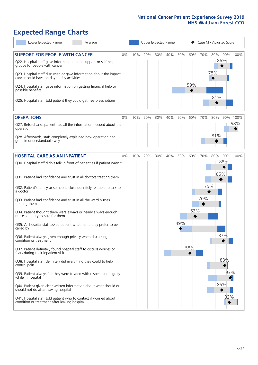# **Expected Range Charts**

| Lower Expected Range<br>Average                                                                                                                                                                                 |    |     |     |     | Upper Expected Range |     |     |     | Case Mix Adjusted Score |          |
|-----------------------------------------------------------------------------------------------------------------------------------------------------------------------------------------------------------------|----|-----|-----|-----|----------------------|-----|-----|-----|-------------------------|----------|
| <b>SUPPORT FOR PEOPLE WITH CANCER</b><br>Q22. Hospital staff gave information about support or self-help<br>groups for people with cancer<br>Q23. Hospital staff discussed or gave information about the impact | 0% | 10% | 20% | 30% | 40%                  | 50% | 60% | 70% | 80%<br>86%<br>78%       | 90% 100% |
| cancer could have on day to day activities<br>Q24. Hospital staff gave information on getting financial help or<br>possible benefits                                                                            |    |     |     |     |                      |     | 59% |     | 81%                     |          |
| Q25. Hospital staff told patient they could get free prescriptions                                                                                                                                              |    |     |     |     |                      |     |     |     |                         |          |
| <b>OPERATIONS</b>                                                                                                                                                                                               | 0% | 10% | 20% | 30% | 40%                  | 50% | 60% | 70% | 80%                     | 90% 100% |
| Q27. Beforehand, patient had all the information needed about the<br>operation                                                                                                                                  |    |     |     |     |                      |     |     |     |                         | 98%      |
| Q28. Afterwards, staff completely explained how operation had<br>gone in understandable way                                                                                                                     |    |     |     |     |                      |     |     |     | 81%                     |          |
| <b>HOSPITAL CARE AS AN INPATIENT</b>                                                                                                                                                                            | 0% | 10% | 20% | 30% | 40%                  | 50% | 60% | 70% | 80%                     | 90% 100% |
| Q30. Hospital staff didn't talk in front of patient as if patient wasn't<br>there                                                                                                                               |    |     |     |     |                      |     |     |     | 88%<br>85%              |          |
| Q31. Patient had confidence and trust in all doctors treating them                                                                                                                                              |    |     |     |     |                      |     |     |     |                         |          |
| Q32. Patient's family or someone close definitely felt able to talk to<br>a doctor                                                                                                                              |    |     |     |     |                      |     |     | 75% |                         |          |
| Q33. Patient had confidence and trust in all the ward nurses<br>treating them                                                                                                                                   |    |     |     |     |                      |     |     | 70% |                         |          |
| Q34. Patient thought there were always or nearly always enough<br>nurses on duty to care for them                                                                                                               |    |     |     |     |                      |     | 62% |     |                         |          |
| Q35. All hospital staff asked patient what name they prefer to be<br>called by                                                                                                                                  |    |     |     |     |                      | 49% |     |     |                         |          |
| Q36. Patient always given enough privacy when discussing<br>condition or treatment                                                                                                                              |    |     |     |     |                      |     |     |     | 87%                     |          |
| Q37. Patient definitely found hospital staff to discuss worries or<br>fears during their inpatient visit                                                                                                        |    |     |     |     |                      |     | 58% |     |                         |          |
| Q38. Hospital staff definitely did everything they could to help<br>control pain                                                                                                                                |    |     |     |     |                      |     |     |     | 88%                     |          |
| Q39. Patient always felt they were treated with respect and dignity<br>while in hospital                                                                                                                        |    |     |     |     |                      |     |     |     | 93%                     |          |
| Q40. Patient given clear written information about what should or<br>should not do after leaving hospital                                                                                                       |    |     |     |     |                      |     |     |     | 86%                     |          |
| Q41. Hospital staff told patient who to contact if worried about<br>condition or treatment after leaving hospital                                                                                               |    |     |     |     |                      |     |     |     | 92%                     |          |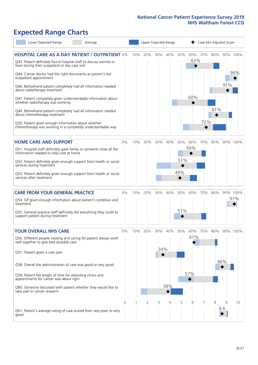# **Expected Range Charts**

| Lower Expected Range                                                                                                  | Average |       |     |     |     | Upper Expected Range |     |     |     | Case Mix Adjusted Score |     |          |
|-----------------------------------------------------------------------------------------------------------------------|---------|-------|-----|-----|-----|----------------------|-----|-----|-----|-------------------------|-----|----------|
| <b>HOSPITAL CARE AS A DAY PATIENT / OUTPATIENT 0%</b>                                                                 |         |       | 10% | 20% | 30% | 40%                  | 50% | 60% | 70% | 80%                     |     | 90% 100% |
| Q43. Patient definitely found hospital staff to discuss worries or<br>fears during their outpatient or day case visit |         |       |     |     |     |                      |     | 63% |     |                         |     |          |
| Q44. Cancer doctor had the right documents at patient's last<br>outpatient appointment                                |         |       |     |     |     |                      |     |     |     |                         |     | 98%      |
| Q46. Beforehand patient completely had all information needed<br>about radiotherapy treatment                         |         |       |     |     |     |                      |     |     |     |                         | 91% |          |
| Q47. Patient completely given understandable information about<br>whether radiotherapy was working                    |         |       |     |     |     |                      |     | 60% |     |                         |     |          |
| Q49. Beforehand patient completely had all information needed<br>about chemotherapy treatment                         |         |       |     |     |     |                      |     |     |     | 81%                     |     |          |
| Q50. Patient given enough information about whether<br>chemotherapy was working in a completely understandable way    |         |       |     |     |     |                      |     |     | 72% |                         |     |          |
| <b>HOME CARE AND SUPPORT</b>                                                                                          |         | 0%    | 10% | 20% | 30% | 40%                  | 50% | 60% | 70% | 80%                     |     | 90% 100% |
| Q51. Hospital staff definitely gave family or someone close all the<br>information needed to help care at home        |         |       |     |     |     |                      |     | 59% |     |                         |     |          |
| Q52. Patient definitely given enough support from health or social<br>services during treatment                       |         |       |     |     |     |                      | 51% |     |     |                         |     |          |
| Q53. Patient definitely given enough support from health or social<br>services after treatment                        |         |       |     |     |     |                      | 49% |     |     |                         |     |          |
| <b>CARE FROM YOUR GENERAL PRACTICE</b>                                                                                |         | $0\%$ | 10% | 20% | 30% | 40%                  | 50% | 60% | 70% | 80%                     |     | 90% 100% |
| Q54. GP given enough information about patient's condition and<br>treatment                                           |         |       |     |     |     |                      |     |     |     |                         |     | 97%      |
| Q55. General practice staff definitely did everything they could to<br>support patient during treatment               |         |       |     |     |     |                      | 51% |     |     |                         |     |          |
| <b>YOUR OVERALL NHS CARE</b>                                                                                          |         | 0%    | 10% | 20% | 30% | 40%                  | 50% | 60% | 70% | 80%                     |     | 90% 100% |
| Q56. Different people treating and caring for patient always work<br>well together to give best possible care         |         |       |     |     |     |                      |     | 61% |     |                         |     |          |
| Q57. Patient given a care plan                                                                                        |         |       |     |     | 34% |                      |     |     |     |                         |     |          |
| Q58. Overall the administration of care was good or very good                                                         |         |       |     |     |     |                      |     |     |     |                         | 86% |          |
| Q59. Patient felt length of time for attending clinics and<br>appointments for cancer was about right                 |         |       |     |     |     |                      |     | 57% |     |                         |     |          |
| Q60. Someone discussed with patient whether they would like to<br>take part in cancer research                        |         |       |     |     |     | 38%                  |     |     |     |                         |     |          |
|                                                                                                                       |         | 0     |     | 2   | 3   | 4                    | 5   | 6   |     | 8                       | 9   | 10       |
| Q61. Patient's average rating of care scored from very poor to very<br>good                                           |         |       |     |     |     |                      |     |     |     |                         | 8.6 |          |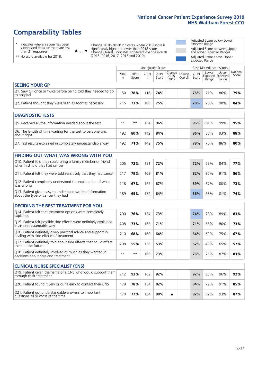# **Comparability Tables**

\* Indicates where a score has been suppressed because there are less than 21 responses.

\*\* No score available for 2018.

 $\triangle$  or  $\nabla$ 

Change 2018-2019: Indicates where 2019 score is significantly higher or lower than 2018 score Change Overall: Indicates significant change overall (2015, 2016, 2017, 2018 and 2019).

Adjusted Score below Lower Expected Range Adjusted Score between Upper and Lower Expected Ranges Adjusted Score above Upper Expected Range

|                                                                             | Case Mix Adjusted Scores<br><b>Unadjusted Scores</b> |               |           |               |                                         |  |               |                |                                     |                   |
|-----------------------------------------------------------------------------|------------------------------------------------------|---------------|-----------|---------------|-----------------------------------------|--|---------------|----------------|-------------------------------------|-------------------|
|                                                                             | 2018                                                 | 2018<br>Score | 2019<br>n | 2019<br>Score | Change<br>2018-<br>2019 Overall<br>2019 |  | 2019<br>Score | Lower<br>Range | Upper<br>Expected Expected<br>Range | National<br>Score |
| <b>SEEING YOUR GP</b>                                                       |                                                      |               |           |               |                                         |  |               |                |                                     |                   |
| Q1. Saw GP once or twice before being told they needed to go<br>to hospital | 150                                                  | 78%           | 116       | 74%           |                                         |  | 76%           | 71%            | 86%                                 | 79%               |
| Q2. Patient thought they were seen as soon as necessary                     | 215                                                  | 73%           | 166       | 75%           |                                         |  | 78%           | 78%            | 90%                                 | 84%               |
|                                                                             |                                                      |               |           |               |                                         |  |               |                |                                     |                   |

| <b>DIAGNOSTIC TESTS</b>                                                   |      |     |     |     |  |     |     |     |     |
|---------------------------------------------------------------------------|------|-----|-----|-----|--|-----|-----|-----|-----|
| O5. Received all the information needed about the test                    | $**$ | **  | 134 | 96% |  | 96% | 91% | 99% | 95% |
| Q6. The length of time waiting for the test to be done was<br>about right | 192  | 80% | 142 | 84% |  | 86% | 83% | 93% | 88% |
| Q7. Test results explained in completely understandable way               | 192  | 71% | 142 | 75% |  | 78% | 73% | 86% | 80% |

| <b>FINDING OUT WHAT WAS WRONG WITH YOU</b>                                                      |     |     |     |     |     |     |     |     |
|-------------------------------------------------------------------------------------------------|-----|-----|-----|-----|-----|-----|-----|-----|
| Q10. Patient told they could bring a family member or friend<br>when first told they had cancer | 205 | 72% | 151 | 72% | 72% | 69% | 84% | 77% |
| Q11. Patient felt they were told sensitively that they had cancer                               | 217 | 79% | 168 | 81% | 82% | 80% | 91% | 86% |
| Q12. Patient completely understood the explanation of what<br>was wrong                         | 218 | 67% | 167 | 67% | 69% | 67% | 80% | 73% |
| Q13. Patient given easy to understand written information<br>about the type of cancer they had  | 189 | 65% | 152 | 64% | 66% | 68% | 81% | 74% |

| <b>DECIDING THE BEST TREATMENT FOR YOU</b>                                                              |      |      |     |     |  |     |     |     |     |
|---------------------------------------------------------------------------------------------------------|------|------|-----|-----|--|-----|-----|-----|-----|
| Q14. Patient felt that treatment options were completely<br>explained                                   | 200  | 76%  | 154 | 73% |  | 74% | 78% | 89% | 83% |
| Q15. Patient felt possible side effects were definitely explained<br>in an understandable way           | 208  | 73%  | 163 | 71% |  | 71% | 66% | 80% | 73% |
| Q16. Patient definitely given practical advice and support in<br>dealing with side effects of treatment | 210  | 68%  | 160 | 64% |  | 64% | 60% | 75% | 67% |
| Q17. Patient definitely told about side effects that could affect<br>them in the future                 | 208  | 55%  | 156 | 53% |  | 52% | 49% | 65% | 57% |
| Q18. Patient definitely involved as much as they wanted in<br>decisions about care and treatment        | $**$ | $**$ | 165 | 73% |  | 76% | 75% | 87% | 81% |

| <b>CLINICAL NURSE SPECIALIST (CNS)</b>                                                    |     |     |     |     |  |     |     |     |     |
|-------------------------------------------------------------------------------------------|-----|-----|-----|-----|--|-----|-----|-----|-----|
| Q19. Patient given the name of a CNS who would support them<br>through their treatment    | 212 | 92% | 162 | 92% |  | 92% | 88% | 96% | 92% |
| Q20. Patient found it very or quite easy to contact their CNS                             | 179 | 78% | 134 | 82% |  | 84% | 79% | 91% | 85% |
| Q21. Patient got understandable answers to important<br>questions all or most of the time | 170 | 77% | 134 | 90% |  | 92% | 82% | 93% | 87% |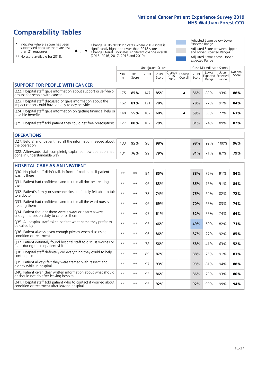# **Comparability Tables**

\* Indicates where a score has been suppressed because there are less than 21 responses.

\*\* No score available for 2018.

 $\triangle$  or  $\nabla$ 

Change 2018-2019: Indicates where 2019 score is significantly higher or lower than 2018 score Change Overall: Indicates significant change overall (2015, 2016, 2017, 2018 and 2019).

Adjusted Score below Lower Expected Range Adjusted Score between Upper and Lower Expected Ranges Adjusted Score above Upper Expected Range

|                                                                                                                   |              |               | <b>Unadjusted Scores</b> |               |                         |                   |               | Case Mix Adjusted Scores            |                |                   |
|-------------------------------------------------------------------------------------------------------------------|--------------|---------------|--------------------------|---------------|-------------------------|-------------------|---------------|-------------------------------------|----------------|-------------------|
|                                                                                                                   | 2018<br>n    | 2018<br>Score | 2019<br>n.               | 2019<br>Score | Change<br>2018-<br>2019 | Change<br>Overall | 2019<br>Score | Lower<br>Expected Expected<br>Range | Upper<br>Range | National<br>Score |
| <b>SUPPORT FOR PEOPLE WITH CANCER</b>                                                                             |              |               |                          |               |                         |                   |               |                                     |                |                   |
| Q22. Hospital staff gave information about support or self-help<br>groups for people with cancer                  | 175          | 85%           | 147                      | 85%           |                         | ▲                 | 86%           | 83%                                 | 93%            | 88%               |
| Q23. Hospital staff discussed or gave information about the<br>impact cancer could have on day to day activities  | 162          | 81%           | 121                      | 78%           |                         |                   | 78%           | 77%                                 | 91%            | 84%               |
| Q24. Hospital staff gave information on getting financial help or<br>possible benefits                            | 148          | 55%           | 102                      | 60%           |                         | ▲                 | 59%           | 53%                                 | 72%            | 63%               |
| Q25. Hospital staff told patient they could get free prescriptions                                                | 127          | 80%           | 102                      | 79%           |                         |                   | 81%           | 74%                                 | 89%            | 82%               |
| <b>OPERATIONS</b>                                                                                                 |              |               |                          |               |                         |                   |               |                                     |                |                   |
| Q27. Beforehand, patient had all the information needed about<br>the operation                                    | 133          | 95%           | 98                       | 98%           |                         |                   | 98%           | 92%                                 | 100%           | 96%               |
| Q28. Afterwards, staff completely explained how operation had<br>gone in understandable way                       | 131          | 76%           | 99                       | 79%           |                         |                   | 81%           | 71%                                 | 87%            | 79%               |
| <b>HOSPITAL CARE AS AN INPATIENT</b>                                                                              |              |               |                          |               |                         |                   |               |                                     |                |                   |
| Q30. Hospital staff didn't talk in front of patient as if patient<br>wasn't there                                 | $* *$        | **            | 94                       | 85%           |                         |                   | 88%           | 76%                                 | 91%            | 84%               |
| Q31. Patient had confidence and trust in all doctors treating<br>them                                             | $* *$        | $***$         | 96                       | 83%           |                         |                   | 85%           | 76%                                 | 91%            | 84%               |
| Q32. Patient's family or someone close definitely felt able to talk<br>to a doctor                                | $* *$        | **            | 78                       | 74%           |                         |                   | 75%           | 62%                                 | 82%            | 72%               |
| Q33. Patient had confidence and trust in all the ward nurses<br>treating them                                     | $\star\star$ | **            | 96                       | 69%           |                         |                   | 70%           | 65%                                 | 83%            | 74%               |
| Q34. Patient thought there were always or nearly always<br>enough nurses on duty to care for them                 | $* *$        | **            | 95                       | 61%           |                         |                   | 62%           | 55%                                 | 74%            | 64%               |
| Q35. All hospital staff asked patient what name they prefer to<br>be called by                                    | $* *$        | **            | 95                       | 46%           |                         |                   | 49%           | 60%                                 | 82%            | 71%               |
| Q36. Patient always given enough privacy when discussing<br>condition or treatment                                | $**$         | $***$         | 96                       | 86%           |                         |                   | 87%           | 77%                                 | 92%            | 85%               |
| Q37. Patient definitely found hospital staff to discuss worries or<br>fears during their inpatient visit          | $**$         | **            | 78                       | 56%           |                         |                   | 58%           | 41%                                 | 63%            | 52%               |
| Q38. Hospital staff definitely did everything they could to help<br>control pain                                  | $* *$        | **            | 89                       | 87%           |                         |                   | 88%           | 75%                                 | 91%            | 83%               |
| Q39. Patient always felt they were treated with respect and<br>dignity while in hospital                          | $***$        | **            | 97                       | 93%           |                         |                   | 93%           | 81%                                 | 94%            | 88%               |
| Q40. Patient given clear written information about what should<br>or should not do after leaving hospital         | $**$         | **            | 93                       | 86%           |                         |                   | 86%           | 79%                                 | 93%            | 86%               |
| Q41. Hospital staff told patient who to contact if worried about<br>condition or treatment after leaving hospital | $**$         | **            | 95                       | 92%           |                         |                   | 92%           | 90%                                 | 99%            | 94%               |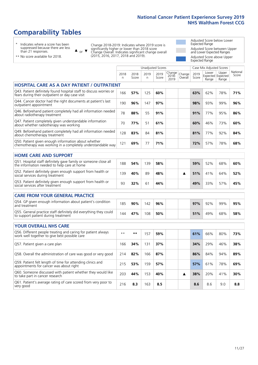# **Comparability Tables**

\* Indicates where a score has been suppressed because there are less than 21 responses.

\*\* No score available for 2018.

 $\triangle$  or  $\nabla$ 

Change 2018-2019: Indicates where 2019 score is significantly higher or lower than 2018 score Change Overall: Indicates significant change overall (2015, 2016, 2017, 2018 and 2019).

Adjusted Score below Lower Expected Range Adjusted Score between Upper and Lower Expected Ranges Adjusted Score above Upper Expected Range

|                                                                                                                       |              |               |            | Unadjusted Scores |                         |                   |               | Case Mix Adjusted Scores            |                |                   |
|-----------------------------------------------------------------------------------------------------------------------|--------------|---------------|------------|-------------------|-------------------------|-------------------|---------------|-------------------------------------|----------------|-------------------|
|                                                                                                                       | 2018<br>n.   | 2018<br>Score | 2019<br>n. | 2019<br>Score     | Change<br>2018-<br>2019 | Change<br>Overall | 2019<br>Score | Lower<br>Expected Expected<br>Range | Upper<br>Range | National<br>Score |
| <b>HOSPITAL CARE AS A DAY PATIENT / OUTPATIENT</b>                                                                    |              |               |            |                   |                         |                   |               |                                     |                |                   |
| Q43. Patient definitely found hospital staff to discuss worries or<br>fears during their outpatient or day case visit | 166          | 57%           | 125        | 60%               |                         |                   | 63%           | 62%                                 | 78%            | 71%               |
| Q44. Cancer doctor had the right documents at patient's last<br>outpatient appointment                                | 190          | 96%           | 147        | 97%               |                         |                   | 98%           | 93%                                 | 99%            | 96%               |
| Q46. Beforehand patient completely had all information needed<br>about radiotherapy treatment                         | 78           | 88%           | 55         | 91%               |                         |                   | 91%           | 77%                                 | 95%            | 86%               |
| Q47. Patient completely given understandable information<br>about whether radiotherapy was working                    | 70           | 77%           | 51         | 61%               |                         |                   | 60%           | 46%                                 | 73%            | 60%               |
| Q49. Beforehand patient completely had all information needed<br>about chemotherapy treatment                         | 128          | 83%           | 84         | 81%               |                         |                   | 81%           | 77%                                 | 92%            | 84%               |
| Q50. Patient given enough information about whether<br>chemotherapy was working in a completely understandable way    | 121          | 69%           | 77         | 71%               |                         |                   | 72%           | 57%                                 | 78%            | 68%               |
| <b>HOME CARE AND SUPPORT</b>                                                                                          |              |               |            |                   |                         |                   |               |                                     |                |                   |
| Q51. Hospital staff definitely gave family or someone close all<br>the information needed to help care at home        | 188          | 54%           | 139        | 58%               |                         |                   | 59%           | 52%                                 | 68%            | 60%               |
| Q52. Patient definitely given enough support from health or<br>social services during treatment                       | 139          | 40%           | 89         | 48%               |                         | ▲                 | 51%           | 41%                                 | 64%            | 52%               |
| Q53. Patient definitely given enough support from health or<br>social services after treatment                        | 93           | 32%           | 61         | 44%               |                         |                   | 49%           | 33%                                 | 57%            | 45%               |
| <b>CARE FROM YOUR GENERAL PRACTICE</b>                                                                                |              |               |            |                   |                         |                   |               |                                     |                |                   |
| Q54. GP given enough information about patient's condition<br>and treatment                                           | 185          | 90%           | 142        | 96%               |                         |                   | 97%           | 92%                                 | 99%            | 95%               |
| Q55. General practice staff definitely did everything they could<br>to support patient during treatment               | 144          | 47%           | 108        | 50%               |                         |                   | 51%           | 49%                                 | 68%            | 58%               |
| <b>YOUR OVERALL NHS CARE</b>                                                                                          |              |               |            |                   |                         |                   |               |                                     |                |                   |
| Q56. Different people treating and caring for patient always<br>work well together to give best possible care         | $\star\star$ | $**$          | 157        | 59%               |                         |                   | 61%           | 66%                                 | 80%            | 73%               |
| Q57. Patient given a care plan                                                                                        | 166          | 34%           | 131        | 37%               |                         |                   | 34%           | 29%                                 | 46%            | 38%               |
| Q58. Overall the administration of care was good or very good                                                         | 214          | 82%           | 166        | 87%               |                         |                   | 86%           | 84%                                 | 94%            | 89%               |
| Q59. Patient felt length of time for attending clinics and<br>appointments for cancer was about right                 | 215          | 53%           | 159        | 57%               |                         |                   | 57%           | 61%                                 | 78%            | 69%               |
| Q60. Someone discussed with patient whether they would like<br>to take part in cancer research                        | 203          | 44%           | 153        | 40%               |                         | ▲                 | 38%           | 20%                                 | 41%            | 30%               |
| Q61. Patient's average rating of care scored from very poor to<br>very good                                           | 216          | 8.3           | 163        | 8.5               |                         |                   | 8.6           | 8.6                                 | 9.0            | 8.8               |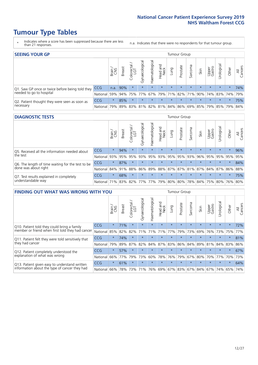# **Tumour Type Tables**

- \* Indicates where a score has been suppressed because there are less than 21 responses.
- n.a. Indicates that there were no respondents for that tumour group.

| <b>SEEING YOUR GP</b>                           |            |              |               |                   |                |               |                  |                       | Tumour Group |         |         |                 |                                                 |         |                |
|-------------------------------------------------|------------|--------------|---------------|-------------------|----------------|---------------|------------------|-----------------------|--------------|---------|---------|-----------------|-------------------------------------------------|---------|----------------|
|                                                 |            | Brain<br>CNS | <b>Breast</b> | Colorectal<br>LGT | Gynaecological | Haematologica | Head and<br>Neck | Dung                  | Prostate     | Sarcoma | Skin    | Upper<br>Gastro | Urological                                      | Other   | All<br>Cancers |
| Q1. Saw GP once or twice before being told they | <b>CCG</b> | n.a.         | 90%           | $\star$           | $\star$        | $\star$       | $\star$          | $\star$               | $\star$      | $\star$ | $\star$ | $\star$         | $\star$                                         | $\star$ | 74%            |
| needed to go to hospital                        | National   | 59%          |               | 94% 75% 77%       |                |               |                  | 67%   79%   71%   82% |              |         |         |                 | 71% 90% 74% 83% 74%                             |         | 79%            |
| Q2. Patient thought they were seen as soon as   | <b>CCG</b> | $\star$      | 85%           | $\star$           | $\star$        | $\star$       | $\star$          | $\star$               | $\star$      | $\star$ | $\star$ | $\star$         | $\star$                                         | $\star$ | 75%            |
| necessary                                       | National   | 79%          |               |                   |                |               |                  |                       |              |         |         |                 | 89% 83% 81% 82% 81% 84% 86% 69% 85% 79% 85% 79% |         | 84%            |

#### **DIAGNOSTIC TESTS** Tumour Group

|                                                   |                                          | Brain   | <b>Breast</b> | ╮<br>Colorectal | Gynaecological | Haematological | Head and<br>Neck | Lung    | Prostate | Sarcoma | Skin                                    | Upper<br>Gastro | Urological | Other   | All<br>Cancers |
|---------------------------------------------------|------------------------------------------|---------|---------------|-----------------|----------------|----------------|------------------|---------|----------|---------|-----------------------------------------|-----------------|------------|---------|----------------|
| Q5. Received all the information needed about     | CCG                                      | $\star$ | 94%           |                 | $\star$        | $\star$        | $\star$          | $\star$ | $\star$  | $\star$ | $\star$                                 | $\star$         | $\star$    | $\star$ | 96%            |
| the test                                          | National                                 | 93%     | 95%           | 95%             | 93%            | 95%            |                  | 93% 95% | 95%      | 93%     | 96%                                     | 95%             | 95%        | 95%     | 95%            |
| Q6. The length of time waiting for the test to be | <b>CCG</b>                               | $\star$ | 87%           |                 | $\star$        | $\star$        | $\star$          | $\star$ | $\star$  | $\star$ | $\star$                                 | $\star$         | $\star$    | $\star$ | 84%            |
| done was about right                              | National 84% 91% 88%                     |         |               |                 |                |                |                  |         |          |         | 86% 89% 88% 87% 87% 81% 87% 84% 87% 86% |                 |            |         | 88%            |
| Q7. Test results explained in completely          | <b>CCG</b>                               | $\star$ | 68%           | $\star$         | $\star$        | $\star$        | $\star$          | $\star$ | $\star$  | $\star$ | $\star$                                 | $\star$         | $\star$    | $\star$ | 75%            |
| understandable way                                | National 71% 83% 82% 77% 77% 79% 80% 80% |         |               |                 |                |                |                  |         |          |         | 78% 84% 75% 80% 76% 80%                 |                 |            |         |                |

| <b>FINDING OUT WHAT WAS WRONG WITH YOU</b>        |            |         |               |                 |                |                |                        |             | <b>Tumour Group</b> |         |         |                 |           |         |                |
|---------------------------------------------------|------------|---------|---------------|-----------------|----------------|----------------|------------------------|-------------|---------------------|---------|---------|-----------------|-----------|---------|----------------|
|                                                   |            | Brain   | <b>Breast</b> | ╮<br>Colorectal | Gynaecological | Haematological | ad and<br>Neck<br>Head | Lung        | Prostate            | Sarcoma | Skin    | Upper<br>Gastro | Jrologica | Other   | All<br>Cancers |
| Q10. Patient told they could bring a family       | <b>CCG</b> | $\star$ | 71%           | $\star$         | $\star$        | $\star$        | $\star$                | $\star$     | $\star$             | $\star$ | $\star$ | $\star$         | $\star$   | $\star$ | 72%            |
| member or friend when first told they had cancer  | National   | 85%     | 82%           | 82%             | 71%            | 71%            | 71%                    | 77%         | 79%                 | 73%     | 69%     | 76%             | 73% 75%   |         | 77%            |
| Q11. Patient felt they were told sensitively that | CCG        | $\star$ | 74%           | $\star$         | $\star$        | $\star$        | $\star$                | $\star$     | $\star$             | $\star$ | $\star$ | $\star$         | $\star$   | $\star$ | 81%            |
| they had cancer                                   | National   | 79%     | 89%           | 87%             | 82%            | 84%            | 87%                    | 83%         | 86%                 | 84%     | 89%     | 81%             | 84% 83%   |         | 86%            |
| Q12. Patient completely understood the            | CCG        | $\star$ | 57%           |                 | $\star$        |                | $\star$                | $\star$     | $\star$             |         | $\star$ | $\star$         | $\star$   | $\star$ | 67%            |
| explanation of what was wrong                     | National   | 66%     | 77%           | 79%             | 73%            | 60%            | 78%                    | 76%         | 79%                 | 67%     | 80%     | 70%             | 77%       | 70%     | 73%            |
| Q13. Patient given easy to understand written     | <b>CCG</b> | $\star$ | 61%           | $\star$         | $\star$        | $\star$        | $\star$                | $\star$     | $\star$             | $\star$ | $\star$ | $\star$         | $\star$   | $\ast$  | 64%            |
| information about the type of cancer they had     | National   | 66%     | 78%           | 73%             | 71%            | 76%            |                        | 69% 67% 83% |                     |         | 67% 84% | 67%             | 74%       | 65%     | 74%            |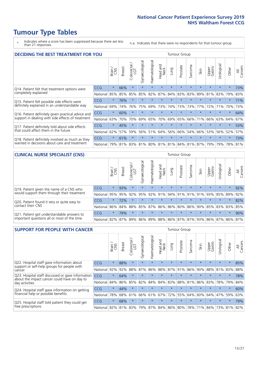# **Tumour Type Tables**

\* Indicates where a score has been suppressed because there are less than 21 responses.

n.a. Indicates that there were no respondents for that tumour group.

| <b>DECIDING THE BEST TREATMENT FOR YOU</b>         |          |         |               |                             |                |                |                         |         | <b>Tumour Group</b> |         |                                         |                 |            |         |                |
|----------------------------------------------------|----------|---------|---------------|-----------------------------|----------------|----------------|-------------------------|---------|---------------------|---------|-----------------------------------------|-----------------|------------|---------|----------------|
|                                                    |          | Brain   | <b>Breast</b> | olorectal.<br>LGT<br>$\cup$ | Gynaecological | Haematological | ead and<br>Neck<br>Head | Lung    | Prostate            | Sarcoma | Skin                                    | Upper<br>Gastro | Jrological | Other   | All<br>Cancers |
| Q14. Patient felt that treatment options were      | CCG      | $\star$ | 66%           | $\star$                     | $\star$        | $\star$        | $\star$                 | $\star$ | $\star$             | $\star$ | $\star$                                 | $\star$         | $\star$    | $\star$ | 73%            |
| completely explained                               | National | 85%     | 85%           | 85%                         | 85%            | 82%            | 87%                     | 84%     | 83%                 | 83%     | 89%                                     | 81%             | 83%        | 79%     | 83%            |
| Q15. Patient felt possible side effects were       | CCG      | $\star$ | 76%           | $\star$                     | $\star$        | $\star$        | $\star$                 | $\star$ | $\star$             | 大       |                                         | $\star$         | $\star$    | $\star$ | 71%            |
| definitely explained in an understandable way      | National | 69%     | 74%           | 76%                         | 75%            | 69%            | 73%                     | 74%     | 73%                 | 73%     | 77%                                     | 72%             | 71%        | 70%     | 73%            |
| Q16. Patient definitely given practical advice and | CCG      | $\star$ | 60%           | $\star$                     | $\star$        | $\star$        | $\star$                 | $\star$ | $\star$             | $\star$ | $\star$                                 | $\star$         | $\star$    | $\star$ | 64%            |
| support in dealing with side effects of treatment  | National | 63%     | 70%           | 70%                         | 69%            | 65%            | 70%                     | 69%     | 65%                 | 66%     | 71%                                     | 66%             | 63%        | 64%     | 67%            |
| Q17. Patient definitely told about side effects    | CCG      | $\star$ | 45%           | $\star$                     | $\star$        | $\star$        | $\star$                 | $\star$ | $\star$             | $\star$ | $\star$                                 | $\star$         | $\star$    | $\star$ | 53%            |
| that could affect them in the future               | National | 62%     | 57%           | 59%                         | 56%            | 51%            | 64%                     | 56%     | 66%                 | 54%     | 66%                                     | 53%             | 56%        | 52%     | 57%            |
| Q18. Patient definitely involved as much as they   | CCG      | $\star$ | 61%           | $\star$                     | $\star$        | $\star$        | $\star$                 | $\star$ | $\star$             | $\star$ | $\star$                                 | $\star$         | $\star$    | $\star$ | 73%            |
| wanted in decisions about care and treatment       | National | 79%     |               |                             |                |                |                         |         |                     |         | 81% 83% 81% 80% 81% 81% 84% 81% 87% 79% |                 | 79%        | 78% 81% |                |

#### **CLINICAL NURSE SPECIALIST (CNS)** Tumour Group

|                                                            |                                                                  | Brain   | <b>Breast</b>   | olorectal<br>LGT<br>U | $\overline{\sigma}$<br>aecologic<br>$\bar{\xi}$ | ᠊ᢛ<br>ت<br>Haematologi | Head and<br>Neck        | <b>Dun</b> | Prostate | Sarcoma | Skin    | Upper<br>Gastro | σ<br>rologica                   | Other   | All<br>Cancers |
|------------------------------------------------------------|------------------------------------------------------------------|---------|-----------------|-----------------------|-------------------------------------------------|------------------------|-------------------------|------------|----------|---------|---------|-----------------|---------------------------------|---------|----------------|
| Q19. Patient given the name of a CNS who                   | <b>CCG</b>                                                       | $\star$ | 93%             |                       | $\star$                                         | $\star$                | $\star$                 | $\star$    | $\star$  | $\star$ | $\star$ | $\star$         | $\star$                         | $\ast$  | 92%            |
| would support them through their treatment                 | National                                                         | 95%     | 95%             | 92%                   | 95%                                             |                        | 92% 91% 94% 91% 91% 91% |            |          |         |         | 93%             |                                 | 85% 89% | 92%            |
| Q20. Patient found it very or quite easy to                | CCG                                                              | $\star$ | 72%             |                       | $\star$                                         | $\star$                | $\star$                 | $\star$    | $\star$  | $\star$ | $\star$ | $\star$         | $\star$                         | $\star$ | 82%            |
| contact their CNS                                          | National                                                         |         | 86% 84% 88% 85% |                       |                                                 | 87%                    |                         |            |          |         |         |                 | 86% 86% 80% 86% 90% 85% 83% 83% |         | 85%            |
| . Patient got understandable answers to<br>O <sub>21</sub> | CCG                                                              | $\star$ | 79%             |                       | $\star$                                         | $\star$                | $\star$                 | $\star$    | $\star$  | $\star$ | $\star$ | $\star$         | $\star$                         | $\star$ | 90%            |
| important questions all or most of the time                | National 82% 87% 89% 86% 89% 88% 86% 87% 87% 93% 86% 87% 86% 87% |         |                 |                       |                                                 |                        |                         |            |          |         |         |                 |                                 |         |                |

| <b>SUPPORT FOR PEOPLE WITH CANCER</b>                                                             |            |         |               |            |                |                |                         |         | <b>Tumour Group</b> |         |         |                 |            |          |                |
|---------------------------------------------------------------------------------------------------|------------|---------|---------------|------------|----------------|----------------|-------------------------|---------|---------------------|---------|---------|-----------------|------------|----------|----------------|
|                                                                                                   |            | Brain   | <b>Breast</b> | Colorectal | Gynaecological | Haematological | ead and<br>Neck<br>Head | Lung    | Prostate            | Sarcoma | Skin    | Upper<br>Gastro | Jrological | Other    | All<br>Cancers |
| Q22. Hospital staff gave information about<br>support or self-help groups for people with         | <b>CCG</b> | $\star$ | 88%           | $\star$    | $\star$        | $\star$        | $\star$                 | $\star$ | $\star$             | $\star$ | $\star$ | $\star$         | $\star$    | $\star$  | 85%            |
| cancer                                                                                            | National   | 92%     | 92%           | 88%        | 87%            | 86%            | 88%                     | 87%     | 91%                 | 86%     | 90%     | 88%             | 81%        | 83%      | 88%            |
| Q23. Hospital staff discussed or gave information<br>about the impact cancer could have on day to | CCG        | $\star$ | 64%           | $\star$    | $\star$        | $\star$        | $\star$                 | $\star$ | $\star$             | $\star$ | $\star$ | $\star$         | $\star$    | $\star$  | 78%            |
| day activities                                                                                    | National   | 84%     | 86%           | 85%        | 82%            | 84%            | 84%                     | 83%     | 88%                 | 81%     | 86%     | 83%             | 78%        | 79%      | 84%            |
| Q24. Hospital staff gave information on getting                                                   | CCG        | $\star$ | 44%           | $\star$    | $\star$        |                | $\star$                 | $\star$ | $\star$             | $\star$ | $\star$ | $\star$         | $\star$    | $^\star$ | 60%            |
| financial help or possible benefits                                                               | National   | 78%     | 68%           | 61%        | 66%            | 61%            | 67%                     | 72%     | 55%                 | 64%     | 60%     | 64%             | 47%        | 59%      | 63%            |
| Q25. Hospital staff told patient they could get                                                   | CCG        | $\star$ | 68%           | $\star$    | $\star$        |                | $\star$                 | $\star$ | $\star$             | $\star$ |         | $\star$         | $\star$    | $\star$  | 79%            |
| free prescriptions                                                                                | National   | 82%     | 81%           | 83%        | 79%            | 87%            |                         |         | 84% 86% 80%         | 78%     | 71%     | 84%             | 73%        | 81%      | 82%            |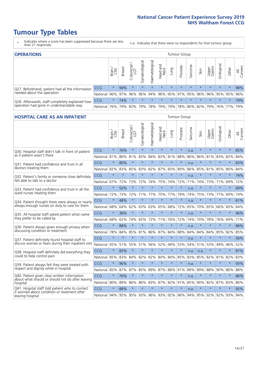# **Tumour Type Tables**

- \* Indicates where a score has been suppressed because there are less than 21 responses.
- n.a. Indicates that there were no respondents for that tumour group.

| <b>OPERATIONS</b>                                |            |              |               |            |                |                |                  |         | Tumour Group            |         |         |                 |                                             |         |                |
|--------------------------------------------------|------------|--------------|---------------|------------|----------------|----------------|------------------|---------|-------------------------|---------|---------|-----------------|---------------------------------------------|---------|----------------|
|                                                  |            | Brain<br>CNS | <b>Breast</b> | Colorectal | Gynaecological | Haematological | Head and<br>Neck | Dung    | Prostate                | Sarcoma | Skin    | Upper<br>Gastro | σ<br>Jrologica                              | Other   | All<br>Cancers |
| Q27. Beforehand, patient had all the information | <b>CCG</b> | $\star$      | 94%           | $\star$    | $\star$        | $\star$        | $\star$          | $\star$ | $\star$                 | $\star$ | $\star$ | $\star$         | $\star$                                     | $\star$ | 98%            |
| needed about the operation                       | National   | 96%          |               | 97% 96%    | 96%            |                |                  |         | 94% 96% 95% 97% 95% 96% |         |         |                 | 96% 95% 95%                                 |         | 96%            |
| Q28. Afterwards, staff completely explained how  | <b>CCG</b> | $\star$      | 74%           | $\star$    | $\star$        | $\star$        | $\star$          | $\star$ | $\star$                 | $\star$ | $\star$ | $\star$         | $\star$                                     | $\star$ | 79%            |
| operation had gone in understandable way         | National I | 76%          |               | 79% 83%    |                |                |                  |         |                         |         |         |                 | 79% 78% 79% 79% 78% 80% 82% 79% 76% 77% 79% |         |                |

#### **HOSPITAL CARE AS AN INPATIENT** Tumour Group

|                                                                                                  |              | Brain   | <b>Breast</b> | ╮<br>Colorectal /<br>LGT | Gynaecological | Haematological          | Head and<br>Neck | Lung    | Prostate | Sarcoma | Skin        | Upper<br>Gastro | Urological | Other   | All<br>Cancers |
|--------------------------------------------------------------------------------------------------|--------------|---------|---------------|--------------------------|----------------|-------------------------|------------------|---------|----------|---------|-------------|-----------------|------------|---------|----------------|
| Q30. Hospital staff didn't talk in front of patient                                              | CCG          | $\star$ | 76%           | $\star$                  | $\star$        | $\star$                 | $\star$          | $\star$ | $\star$  | n.a.    | $\star$     | $\star$         | $\star$    | $\star$ | 85%            |
| as if patient wasn't there                                                                       | National     | 81%     | 86%           | 81%                      | 83%            | 84%                     | 83%              | 81%     | 88%      | 86%     | 86%         | 81%             | 83%        | 82%     | 84%            |
| 031. Patient had confidence and trust in all                                                     | CCG          | $\star$ | 80%           | $\star$                  | $\star$        | $\star$                 | $\star$          | $\star$ | $\star$  | n.a.    | $\star$     | $\star$         | $\star$    | $\star$ | 83%            |
| doctors treating them                                                                            | National 82% |         | 83%           | 85%                      | 83%            | 82%                     |                  | 87% 83% | 89%      | 86%     | 85%         | 81%             | 85%        | 80%     | 84%            |
| Q32. Patient's family or someone close definitely                                                | CCG          | $\star$ | $\star$       | $\star$                  | $\star$        | $\star$                 | $\star$          | $\star$ | $\star$  | n.a.    | $\star$     | $\star$         | $\star$    | $\star$ | 74%            |
| felt able to talk to a doctor                                                                    | National     | 67%     | 72%           | 73%                      | 72%            | 74%                     | 75%              | 74%     | 72%      | 71%     | 74%         | 73%             | 71%        | 69%     | 72%            |
| Q33. Patient had confidence and trust in all the                                                 | CCG          | $\star$ | 52%           | $\star$                  | $\star$        | $\star$                 | $\star$          | $\star$ | $\star$  | n.a.    | $\star$     | $\star$         | $\star$    | $\star$ | 69%            |
| ward nurses treating them                                                                        | National     | 72%     | 73%           | 72%                      | 71%            | 77%                     | 75%              | 77%     | 79%      | 74%     | 75%         | 73%             | 77%        | 69%     | 74%            |
| Q34. Patient thought there were always or nearly                                                 | CCG          | $\star$ | 48%           | $\star$                  | $\star$        | $\star$                 | $\star$          | $\star$ | $\star$  | n.a.    | $\star$     | $\star$         | $\star$    | $\star$ | 61%            |
| always enough nurses on duty to care for them                                                    | National     | 68%     | 64%           | 62%                      | 63%            | 63%                     | 65%              | 68%     | 72%      | 65%     | 70%         | 65%             | 66%        | 60%     | 64%            |
| Q35. All hospital staff asked patient what name                                                  | CCG          | $\star$ | 38%           | $\star$                  | $\star$        | $\star$                 | $\star$          | $\star$ | $\star$  | n.a.    | $\star$     | $\star$         | $\star$    | $\star$ | 46%            |
| they prefer to be called by                                                                      | National     | 68%     | 62%           | 74%                      | 65%            | 72%                     | 71%              | 76%     | 72%      | 74%     | 70%         | 78%             | 76%        | 69%     | 71%            |
| Q36. Patient always given enough privacy when                                                    | CCG          | $\star$ | 88%           | $\star$                  | $\star$        | $\star$                 | $\star$          | $\star$ | $\star$  | n.a.    | $\star$     | $\star$         | $\star$    | $\star$ | 86%            |
| discussing condition or treatment                                                                | National     | 78%     | 84%           | 85%                      | 81%            | 86%                     | 87%              | 84%     | 88%      | 84%     | 84%         | 84%             | 85%        | 82%     | 85%            |
| Q37. Patient definitely found hospital staff to                                                  | CCG          | $\star$ | $\star$       | $\star$                  | $\star$        | $\star$                 | $\star$          | $\star$ | $\star$  | n.a.    | $\star$     | $\star$         | $\star$    | $\star$ | 56%            |
| discuss worries or fears during their inpatient visit                                            | National     | 45%     |               |                          | 51% 55% 51%    |                         | 56% 52%          | 49%     | 53%      | 54%     |             | 51% 53%         | 49%        | 46%     | 52%            |
| Q38. Hospital staff definitely did everything they                                               | CCG          | $\star$ | 83%           | $\star$                  | $\star$        | $\star$                 | $\star$          | $\star$ | $\star$  | n.a.    | n.a.        | $\star$         | $\star$    | $\star$ | 87%            |
| could to help control pain                                                                       | National     | 85%     | 83%           | 84%                      | 82%            | 82%                     | 80%              | 84%     | 85%      | 83%     | 85%         | 82%             | 81%        | 82%     | 83%            |
| Q39. Patient always felt they were treated with                                                  | CCG          | $\star$ | 96%           | $\star$                  | $\star$        | $\star$                 | $\star$          | $\star$ | $\star$  | n.a.    | $\star$     | $\star$         | $\star$    | $\star$ | 93%            |
| respect and dignity while in hospital                                                            | National 85% |         | 87%           | 87%                      | 85%            | 89%                     |                  | 87% 88% | 91%      | 89%     | 89%         | 88%             | 90%        | 86%     | 88%            |
| Q40. Patient given clear written information<br>about what should or should not do after leaving | CCG          | $\star$ | 76%           | $\star$                  | $\star$        | $\star$                 | $\star$          | $\star$ | $\star$  | n.a.    | $\star$     | $\star$         | $\star$    | $\star$ | 86%            |
| hospital                                                                                         | National 80% |         | 89%           | 86%                      | 86%            | 83%                     | 87%              | 82%     | 91%      | 85%     | 90%         | 82%             | 87%        | 83%     | 86%            |
| Q41. Hospital staff told patient who to contact<br>if worried about condition or treatment after | CCG          | $\star$ | 88%           | $\star$                  | $\star$        | $\star$                 | $\star$          | $\star$ | $\star$  | n.a.    | $\star$     | $\star$         | $\star$    | $\star$ | 92%            |
| leaving hospital                                                                                 | National 94% |         |               |                          |                | 95% 95% 93% 96% 93% 92% |                  |         | 96%      |         | 94% 95% 92% |                 |            | 92% 93% | 94%            |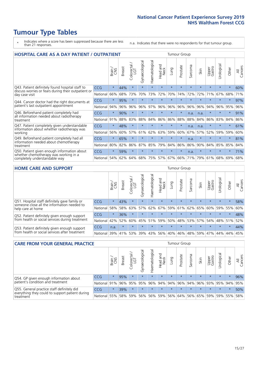# **Tumour Type Tables**

- \* Indicates where a score has been suppressed because there are less than 21 responses.
- n.a. Indicates that there were no respondents for that tumour group.

| <b>HOSPITAL CARE AS A DAY PATIENT / OUTPATIENT</b>                                                                    |            |         |               |            |                |                |                         |         | <b>Tumour Group</b> |                               |         |                 |            |         |                |  |  |  |  |  |  |  |  |
|-----------------------------------------------------------------------------------------------------------------------|------------|---------|---------------|------------|----------------|----------------|-------------------------|---------|---------------------|-------------------------------|---------|-----------------|------------|---------|----------------|--|--|--|--|--|--|--|--|
|                                                                                                                       |            | Brain   | <b>Breast</b> | Colorectal | Gynaecological | Haematological | ead and<br>Neck<br>Head | Lung    | Prostate            | arcoma<br>$\overline{\Omega}$ | Skin    | Upper<br>Gastro | Urological | Other   | All<br>Cancers |  |  |  |  |  |  |  |  |
| Q43. Patient definitely found hospital staff to                                                                       | CCG        | $\star$ | 44%           | $\star$    | $\star$        | $\star$        | $\star$                 | $\star$ | $\star$             | $\star$                       | $\star$ | $\star$         | $\star$    | $\star$ | 60%            |  |  |  |  |  |  |  |  |
| discuss worries or fears during their outpatient or<br>day case visit                                                 | National   | 66%     | 68%           | 73%        | 70%            | 73%            | 72%                     | 70%     | 74%                 | 72%                           | 72%     | 71%             | 67%        | 68%     | 71%            |  |  |  |  |  |  |  |  |
| Q44. Cancer doctor had the right documents at<br>patient's last outpatient appointment                                | CCG        | $\star$ | 95%           | $\star$    | $\star$        |                | $\star$                 | $\star$ | $\star$             | $\star$                       |         | $\star$         | $\star$    | $\star$ | 97%            |  |  |  |  |  |  |  |  |
|                                                                                                                       | National   | 94%     | 96%           | 96%        | 96%            | 97%            | 96%                     | 96%     | 96%                 | 96%                           | 96%     | 94%             | 96%        | 95%     | 96%            |  |  |  |  |  |  |  |  |
| Q46. Beforehand patient completely had                                                                                | <b>CCG</b> | $\star$ | 90%           | $\star$    |                |                | $\star$                 | $\star$ | $\star$             | n.a.                          | n.a.    | $\star$         | $\star$    | $\star$ | 91%            |  |  |  |  |  |  |  |  |
| all information needed about radiotherapy<br>treatment                                                                | National   | 91%     | 88%           | 83%        | 88%            | 84%            | 86%                     | 86%     | 88%                 | 88%                           | 84%     | 86%             | 83%        | 84%     | 86%            |  |  |  |  |  |  |  |  |
| Q47. Patient completely given understandable<br>information about whether radiotherapy was                            | <b>CCG</b> | $\star$ | 48%           | $\star$    | $\star$        | $\star$        | $\star$                 | $\star$ | $\star$             | n.a.                          | n.a.    | $\star$         | $\star$    | $\star$ | 61%            |  |  |  |  |  |  |  |  |
| working                                                                                                               | National   | 56%     | 60%           | 57%        | 61%            | 62%            | 63%                     | 59%     | 60%                 | 67%                           | 57%     | 52%             | 59%        | 59%     | 60%            |  |  |  |  |  |  |  |  |
| Q49. Beforehand patient completely had all                                                                            | CCG        | $\star$ | 65%           | $\star$    | $\star$        | $\star$        | $\star$                 | $\star$ | $\star$             | n.a.                          | $\star$ | $\star$         | $\star$    | $\ast$  | 81%            |  |  |  |  |  |  |  |  |
| information needed about chemotherapy<br>treatment                                                                    | National   | 80%     | 82%           | 86%        | 87%            | 85%            | 79%                     | 84%     | 86%                 | 86%                           | 90%     | 84%             | 85%        | 85%     | 84%            |  |  |  |  |  |  |  |  |
| Q50. Patient given enough information about<br>whether chemotherapy was working in a<br>completely understandable way | <b>CCG</b> | $\star$ | 59%           | $\star$    |                |                | $\star$                 | $\star$ | $\star$             | n.a.                          | $\star$ |                 |            | $\star$ | 71%            |  |  |  |  |  |  |  |  |
|                                                                                                                       | National   | 54%     | 62%           | 64%        | 68%            | 75%            |                         | 57% 67% | 66%                 | 71%                           | 79%     | 61%             | 68%        | 69%     | 68%            |  |  |  |  |  |  |  |  |

#### **HOME CARE AND SUPPORT** Tumour Group

|                                                                                                                   |                 | Brain   | <b>Breast</b> | Colorectal<br>LGT | ᢛ<br>Gynaecologic | Haematological | Head and<br>Neck | <b>Dung</b>     | Prostate | Sarcoma | Skin    | Upper<br>Gastro | rologica | Other   | All<br>Cancers |
|-------------------------------------------------------------------------------------------------------------------|-----------------|---------|---------------|-------------------|-------------------|----------------|------------------|-----------------|----------|---------|---------|-----------------|----------|---------|----------------|
| Q51. Hospital staff definitely gave family or<br>someone close all the information needed to<br>help care at home | <b>CCG</b>      | $\star$ | 43%           | $\star$           | $\star$           | $\star$        | $\star$          | $\star$         | $\star$  | $\star$ | $\star$ | $\star$         | $\star$  | $\star$ | 58%            |
|                                                                                                                   | National        | 58%     | 58%           | 63%               | 57%               | 62%            |                  | 67%   59%   61% |          |         | 62% 65% | 60%             | 59% 55%  |         | 60%            |
| Q52. Patient definitely given enough support<br>from health or social services during treatment                   | <b>CCG</b>      | $\star$ | 36%           |                   | $\star$           |                | $\star$          |                 | $\star$  |         |         | $\star$         | $\star$  | $\star$ | 48%            |
|                                                                                                                   | National        | 42%     | 52%           | 60%               |                   | 45% 51%        | 59%              | 50%             | 48%      |         | 53% 57% | 54%             | 48% 51%  |         | 52%            |
| Q53. Patient definitely given enough support<br>from health or social services after treatment                    | <b>CCG</b>      | n.a.    | $\star$       | $\star$           | $\star$           |                | $\star$          | $\star$         | $\star$  | $\star$ | $\star$ | $\star$         | $\star$  | $\star$ | 44%            |
|                                                                                                                   | <b>National</b> | 39%     | 41% 53%       |                   | 39%               | $ 43\% $       | 56%              | 40%             | 46%      | 48%     | 59%     | 47%             | 44%      | 44%     | 45%            |

| <b>CARE FROM YOUR GENERAL PRACTICE</b>                                                                     |              |         |               |                   |                |                                     |                                     |         | Tumour Group                |         |         |                 |           |         |                |  |  |  |  |  |
|------------------------------------------------------------------------------------------------------------|--------------|---------|---------------|-------------------|----------------|-------------------------------------|-------------------------------------|---------|-----------------------------|---------|---------|-----------------|-----------|---------|----------------|--|--|--|--|--|
|                                                                                                            |              | Brain,  | <b>Breast</b> | Colorectal<br>LGT | Gynaecological | $\overline{\sigma}$<br>Haematologic | Head and<br>Neck                    | Lung    | Prostate                    | Sarcoma | Skin    | Upper<br>Gastro | Urologica | Other   | All<br>Cancers |  |  |  |  |  |
| Q54. GP given enough information about<br>patient's condition and treatment                                | <b>CCG</b>   | $\star$ | 95%           | $\star$           | $\star$        | $\star$                             | $\star$                             | $\star$ | $\star$                     | $\star$ | $\star$ | $\star$         | $\star$   | $\star$ | 96%            |  |  |  |  |  |
|                                                                                                            | National 91% |         |               | 96% 95%           | 95%            |                                     | 96% 94% 94% 96% 94% 96% 93% 95% 94% |         |                             |         |         |                 |           |         | 95%            |  |  |  |  |  |
| Q55. General practice staff definitely did<br>everything they could to support patient during<br>treatment | <b>CCG</b>   | $\star$ | 39%           | $\star$           | $\star$        | $\star$                             | $\star$                             | $\star$ | $\star$                     | $\star$ | $\star$ | $\star$         | $\star$   | $\star$ | 50%            |  |  |  |  |  |
|                                                                                                            | National     | 55%     |               | 58% 59%           | 56%            |                                     | 56% 59%                             |         | 56% 64% 56% 65% 59% 59% 55% |         |         |                 |           |         | 58%            |  |  |  |  |  |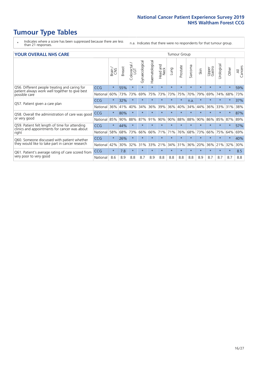# **Tumour Type Tables**

- \* Indicates where a score has been suppressed because there are less than 21 responses.
- n.a. Indicates that there were no respondents for that tumour group.

#### **YOUR OVERALL NHS CARE** THE TWO CONTROLLER THE THE THROUP CHANGE THE TUMOUR GROUP

|                                                                                                |            | Brain<br>CNS | <b>Breast</b> | Colorectal<br>LGT | Gynaecological | Haematological | ead and<br>Neck<br>Head | Lung    | Prostate | arcoma<br>$\sqrt{ }$ | Skin    | Upper<br>Gastro | ত্ত<br>Urologia | Other   | All<br>Cancers |  |  |  |  |
|------------------------------------------------------------------------------------------------|------------|--------------|---------------|-------------------|----------------|----------------|-------------------------|---------|----------|----------------------|---------|-----------------|-----------------|---------|----------------|--|--|--|--|
| Q56. Different people treating and caring for                                                  | <b>CCG</b> | $\star$      | 55%           | $\star$           | $\star$        | $\star$        | $\star$                 | $\star$ | $\star$  | $\star$              | $\star$ | $\star$         | $\star$         | $\star$ | 59%            |  |  |  |  |
| patient always work well together to give best<br>possible care                                | National   | 60%          | 73%           | 73%               | 69%            | 75%            | 73%                     | 73%     | 75%      | 70%                  | 79%     | 69%             | 74%             | 68%     | 73%            |  |  |  |  |
| Q57. Patient given a care plan                                                                 | <b>CCG</b> | $\star$      | 32%           | $\star$           | $\star$        |                | $\star$                 | $\star$ | $\star$  | n.a.                 | $\star$ | $\star$         | $\star$         | $\ast$  | 37%            |  |  |  |  |
|                                                                                                | National   | 36%          | 41%           | 40%               | 34%            | 36%            | 39%                     | 36%     | 40%      | 34%                  | 44%     | 36%             | 33%             | 31%     | 38%            |  |  |  |  |
| Q58. Overall the administration of care was good<br>or very good                               | <b>CCG</b> | $\star$      | 80%           | $\star$           |                |                |                         |         | $\star$  | $\star$              | $\star$ |                 |                 |         | 87%            |  |  |  |  |
|                                                                                                | National   | 85%          | 90%           | 88%               | 87%            | 91%            | 90%                     | 90%     | 88%      | 88%                  | 90%     | 86%             | 85%             | 87%     | 89%            |  |  |  |  |
| Q59. Patient felt length of time for attending                                                 | <b>CCG</b> | $\star$      | 44%           | $\star$           |                |                | $\star$                 | $\star$ | $\star$  | $\star$              | $\star$ |                 |                 | $\star$ | 57%            |  |  |  |  |
| clinics and appointments for cancer was about<br>right                                         | National   | 58%          | 68%           | 73%               | 66%            | 66%            | 71%                     | 71%     | 76%      | 68%                  | 73%     | 66%             | 75%             | 64%     | 69%            |  |  |  |  |
| Q60. Someone discussed with patient whether<br>they would like to take part in cancer research | <b>CCG</b> | $\star$      | 26%           | $\star$           | $\star$        |                |                         | $\star$ | $\star$  | $\star$              | $\star$ |                 |                 | $\star$ | 40%            |  |  |  |  |
|                                                                                                | National   | 42%          | 30%           | 32%               | 31%            | 33%            | 21%                     | 34%     | 31%      | 36%                  | 20%     | 36%             | 21%             | 32%     | 30%            |  |  |  |  |
| Q61. Patient's average rating of care scored from<br>very poor to very good                    | <b>CCG</b> | $\star$      | 7.8           | $\star$           | $\star$        |                | $\star$                 | $\star$ | $\star$  | $\star$              | $\star$ | $\star$         | $\star$         | $\ast$  | 8.5            |  |  |  |  |
|                                                                                                | National   | 8.6          | 8.9           | 8.8               | 8.7            | 8.9            | 8.8                     | 8.8     | 8.8      | 8.8                  | 8.9     | 8.7             | 8.7             | 8.7     | 8.8            |  |  |  |  |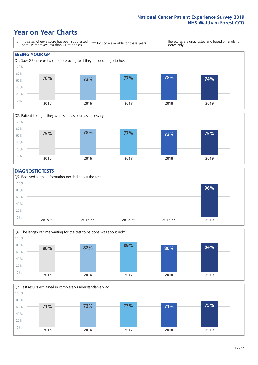### **Year on Year Charts**





#### **DIAGNOSTIC TESTS**





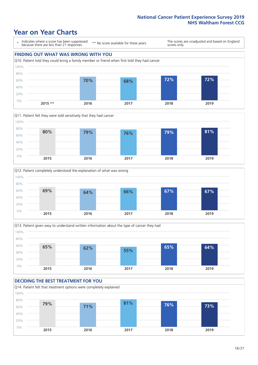### **Year on Year Charts**

\* Indicates where a score has been suppressed because there are less than 21 responses. \*\* No score available for these years. The scores are unadjusted and based on England scores only. **FINDING OUT WHAT WAS WRONG WITH YOU** Q10. Patient told they could bring a family member or friend when first told they had cancer 0% 20% 40% 60% 80% 100% **2015 \*\* 2016 2017 2018 2019 70% 68% 72% 72%**







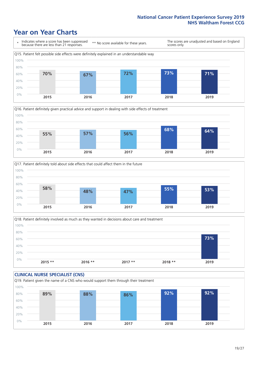### **Year on Year Charts**







Q18. Patient definitely involved as much as they wanted in decisions about care and treatment  $0%$ 20% 40% 60% 80% 100% **2015 \*\* 2016 \*\* 2017 \*\* 2018 \*\* 2019 73%**

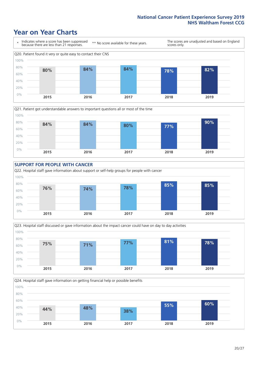### **Year on Year Charts**











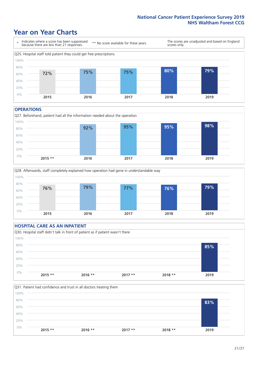### **Year on Year Charts**



#### **OPERATIONS**





#### **HOSPITAL CARE AS AN INPATIENT** Q30. Hospital staff didn't talk in front of patient as if patient wasn't there 0% 20% 40% 60% 80% 100% **2015 \*\* 2016 \*\* 2017 \*\* 2018 \*\* 2019 85%**

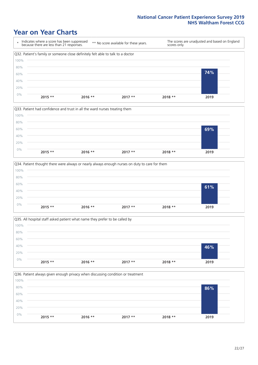### **Year on Year Charts**









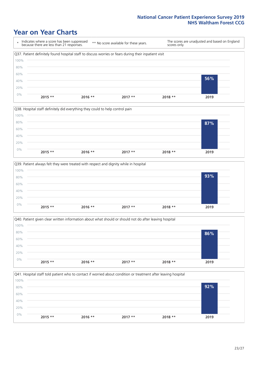### **Year on Year Charts**







![](_page_22_Figure_5.jpeg)

![](_page_22_Figure_6.jpeg)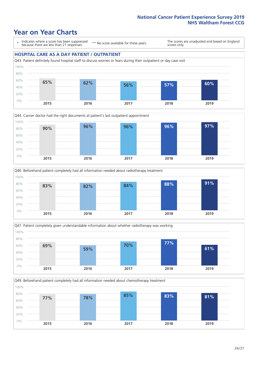### **Year on Year Charts**

\* Indicates where a score has been suppressed because there are less than 21 responses.

\*\* No score available for these years.

The scores are unadjusted and based on England scores only.

#### **HOSPITAL CARE AS A DAY PATIENT / OUTPATIENT**

![](_page_23_Figure_6.jpeg)

![](_page_23_Figure_7.jpeg)

![](_page_23_Figure_8.jpeg)

![](_page_23_Figure_9.jpeg)

Q49. Beforehand patient completely had all information needed about chemotherapy treatment 0% 20% 40% 60% 80% 100% **2015 2016 2017 2018 2019 77% 78% 85% 83% 81%**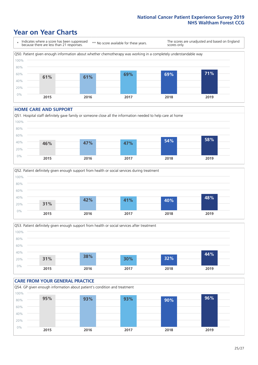### **Year on Year Charts**

\* Indicates where a score has been suppressed because there are less than 21 responses. \*\* No score available for these years. The scores are unadjusted and based on England scores only. Q50. Patient given enough information about whether chemotherapy was working in a completely understandable way 0% 20% 40% 60% 80% 100% **2015 2016 2017 2018 2019 61% 61% 69% 69% 71%**

#### **HOME CARE AND SUPPORT**

![](_page_24_Figure_4.jpeg)

![](_page_24_Figure_5.jpeg)

![](_page_24_Figure_6.jpeg)

![](_page_24_Figure_7.jpeg)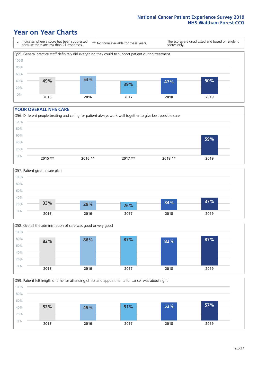### **Year on Year Charts**

\* Indicates where a score has been suppressed because there are less than 21 responses.

\*\* No score available for these years.

The scores are unadjusted and based on England scores only.

![](_page_25_Figure_5.jpeg)

#### **YOUR OVERALL NHS CARE**

![](_page_25_Figure_7.jpeg)

![](_page_25_Figure_8.jpeg)

![](_page_25_Figure_9.jpeg)

Q59. Patient felt length of time for attending clinics and appointments for cancer was about right 0% 20% 40% 60% 80% 100% **2015 2016 2017 2018 2019 52% 49% 51% 53% 57%**